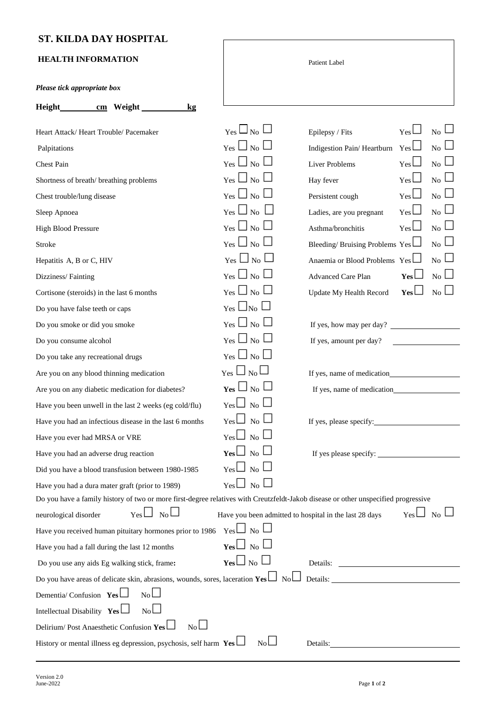## **ST. KILDA DAY HOSPITAL**

## **HEALTH INFORMATION**

| <b>HEALIH INFUKMATION</b>                                                                                                          |                                                        | Patient Label                                                         |
|------------------------------------------------------------------------------------------------------------------------------------|--------------------------------------------------------|-----------------------------------------------------------------------|
| Please tick appropriate box                                                                                                        |                                                        |                                                                       |
| $\frac{\text{cm}}{\text{cm}}$ Weight $\frac{\text{cm}}{\text{cm}}$<br>kg                                                           |                                                        |                                                                       |
| Heart Attack/Heart Trouble/Pacemaker                                                                                               | $_{\rm Yes} \sqcup_{\rm No} \sqcup$                    | Yes<br>$_{\rm No} \sqcup$<br>Epilepsy / Fits                          |
| Palpitations                                                                                                                       | $_{\rm Yes}$ $\Box$ $_{\rm No}$ $\Box$                 | $Yes \Box$<br>Indigestion Pain/Heartburn<br>$\overline{N_0}$          |
| Chest Pain                                                                                                                         | $_{\rm Yes}$ $\Box$ <sub>No</sub> $\Box$               | Yes<br>$_{\rm No} \sqcup$<br><b>Liver Problems</b>                    |
| Shortness of breath/breathing problems                                                                                             | $_{\rm Yes}$ $\square_{\rm No}$ $\square$              | $Yes \Box$<br>$_{\rm No} \sqcup$<br>Hay fever                         |
| Chest trouble/lung disease                                                                                                         | $_{\rm Yes}$ $\Box$ <sub>No</sub> $\Box$               | Yes<br>$_{\rm No} \sqcup$<br>Persistent cough                         |
| Sleep Apnoea                                                                                                                       | $_{\rm Yes}$ $\Box$ No $\Box$                          | $_{\rm No} \sqcup$<br>$_{\rm Yes}$ $\Box$<br>Ladies, are you pregnant |
| <b>High Blood Pressure</b>                                                                                                         | $_{\rm Yes}$ $\Box$ <sub>No</sub> $\Box$               | $_{\rm Yes}$<br>$_{\rm No} \sqcup$<br>Asthma/bronchitis               |
| Stroke                                                                                                                             | $_{\rm Yes}$ $\Box$ <sub>No</sub> $\Box$               | $_{\rm No}$ $\Box$<br>Bleeding/Bruising Problems $Yes$                |
| Hepatitis A, B or C, HIV                                                                                                           | $_{\rm Yes}$ $\square_{\rm No}$ $\square$              | $_{\rm No} \sqcup$<br>Anaemia or Blood Problems Yes                   |
| Dizziness/Fainting                                                                                                                 | $_{\rm Yes}$ $\Box$ $_{\rm No}$ $\Box$                 | $_{\rm No}$ $\Box$<br>Yes<br>Advanced Care Plan                       |
| Cortisone (steroids) in the last 6 months                                                                                          | $_{\rm Yes}$ $\Box$ <sub>No</sub> $\Box$               | $_{\rm No}$ $\Box$<br>Yes<br>Update My Health Record                  |
| Do you have false teeth or caps                                                                                                    | $_{\text{Yes}}\sqcup_{\text{No}}\sqcup$                |                                                                       |
| Do you smoke or did you smoke                                                                                                      | $_{\rm Yes}$ $\Box$ No $\Box$                          | If yes, how may per day?                                              |
| Do you consume alcohol                                                                                                             | $_{\rm Yes}$ $\Box$ <sub>No</sub> $\Box$               | If yes, amount per day?                                               |
| Do you take any recreational drugs                                                                                                 | $_{\rm Yes}$ $\Box$ No $\Box$                          |                                                                       |
| Are you on any blood thinning medication                                                                                           | $_{\rm Yes}$ $\Box$ $_{\rm No}$ $\Box$                 |                                                                       |
| Are you on any diabetic medication for diabetes?                                                                                   | $_{\rm Yes}$ $\Box$ <sub>No</sub> $\Box$               |                                                                       |
| Have you been unwell in the last 2 weeks (eg cold/flu)                                                                             | $_{\rm Yes}$ $\Box$ $_{\rm No}$ $\Box$                 |                                                                       |
| Have you had an infectious disease in the last 6 months                                                                            | $_{\mathrm{Yes}}\Box_{\mathrm{No}}\Box$                | If yes, please specify:                                               |
| Have you ever had MRSA or VRE                                                                                                      | $_{\mathrm{Yes}}\Box_{\mathrm{No}}\Box$                |                                                                       |
| Have you had an adverse drug reaction                                                                                              | $_{\rm Yes}$ $\Box$ $_{\rm No}$ $\Box$                 |                                                                       |
| Did you have a blood transfusion between 1980-1985                                                                                 | $_{\rm Yes}$ $\Box$ $_{\rm No}$ $\Box$                 |                                                                       |
| Have you had a dura mater graft (prior to 1989)                                                                                    | $_{\text{Yes}}\Box_{\text{No}}\Box$                    |                                                                       |
| Do you have a family history of two or more first-degree relatives with Creutzfeldt-Jakob disease or other unspecified progressive |                                                        |                                                                       |
| $Yes \Box_{No} \Box$<br>neurological disorder                                                                                      | Have you been admitted to hospital in the last 28 days | $Yes \Box$ No $\Box$                                                  |
| Have you received human pituitary hormones prior to 1986                                                                           | $Yes \Box$ No $\Box$                                   |                                                                       |
| Have you had a fall during the last 12 months                                                                                      | $_{\rm Yes}$ $\Box$ No $\Box$                          |                                                                       |
| Do you use any aids Eg walking stick, frame:                                                                                       | $_{\rm Yes}$ $\Box$ <sub>No</sub> $\Box$               |                                                                       |
| Do you have areas of delicate skin, abrasions, wounds, sores, laceration $\text{Yes} \sqcup \text{No} \sqcup$ Details:             |                                                        |                                                                       |
| $N_0 \Box$<br>Dementia/ Confusion Yes                                                                                              |                                                        |                                                                       |
| Intellectual Disability $Yes$<br>$N_0 \Box$                                                                                        |                                                        |                                                                       |
| $N_0 \Box$<br>Delirium/Post Anaesthetic Confusion Yes                                                                              |                                                        |                                                                       |
| History or mental illness eg depression, psychosis, self harm $\gamma$ es                                                          | $N_0 \Box$                                             | Details:                                                              |